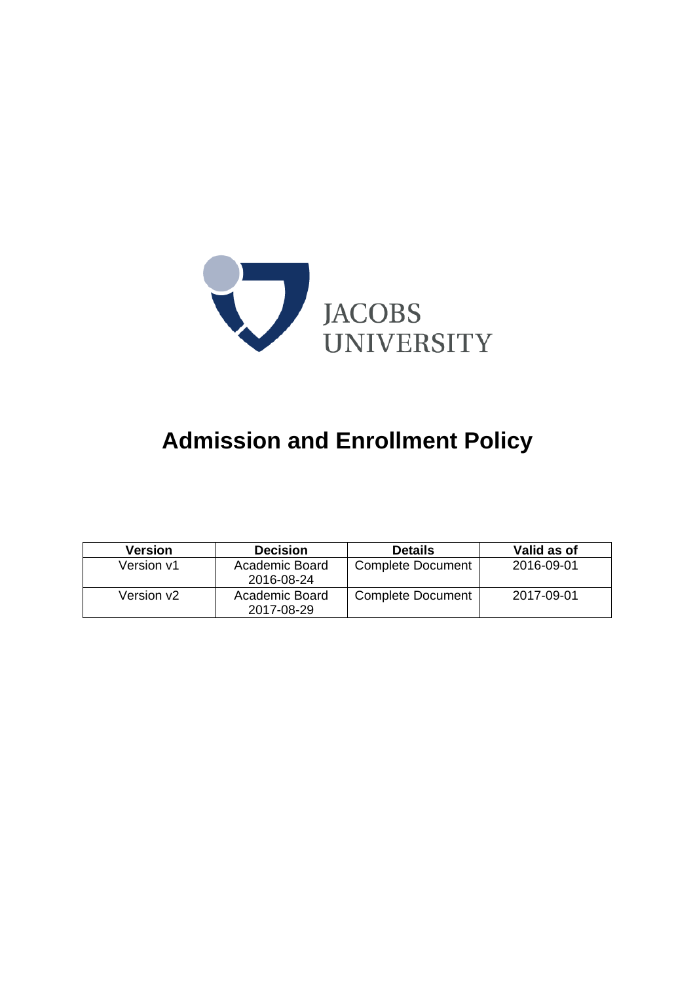

# **Admission and Enrollment Policy**

| <b>Version</b> | <b>Decision</b>              | <b>Details</b>           | Valid as of |
|----------------|------------------------------|--------------------------|-------------|
| Version v1     | Academic Board<br>2016-08-24 | <b>Complete Document</b> | 2016-09-01  |
| Version v2     | Academic Board<br>2017-08-29 | <b>Complete Document</b> | 2017-09-01  |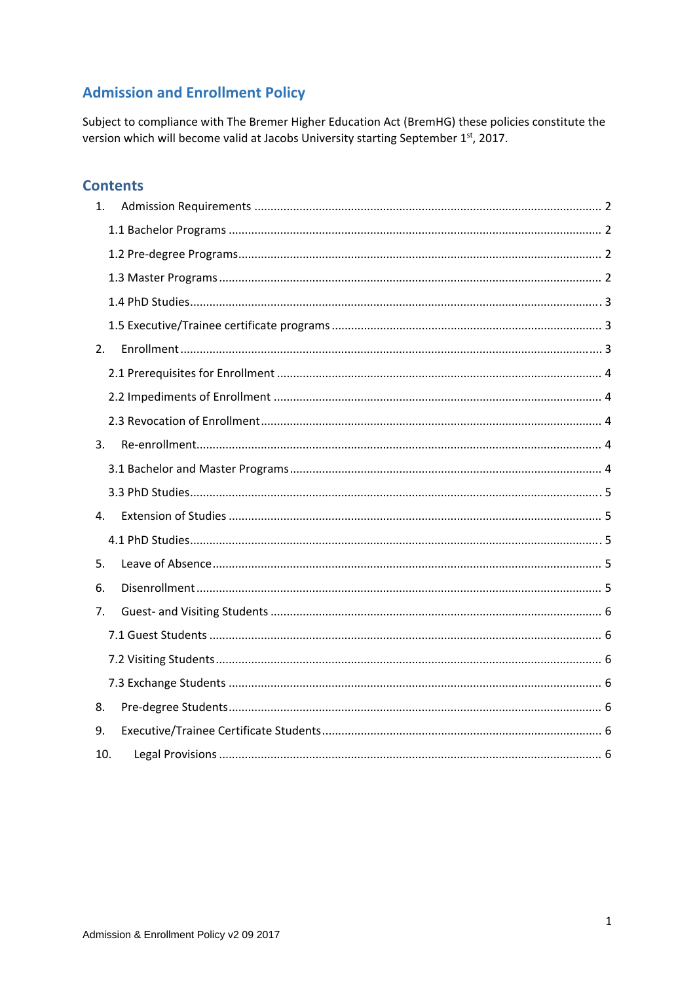# **Admission and Enrollment Policy**

Subject to compliance with The Bremer Higher Education Act (BremHG) these policies constitute the version which will become valid at Jacobs University starting September 1st, 2017.

# **Contents**

| 1.  |  |
|-----|--|
|     |  |
|     |  |
|     |  |
|     |  |
|     |  |
| 2.  |  |
|     |  |
|     |  |
|     |  |
| 3.  |  |
|     |  |
|     |  |
| 4.  |  |
|     |  |
| 5.  |  |
| 6.  |  |
| 7.  |  |
|     |  |
|     |  |
|     |  |
| 8.  |  |
| 9.  |  |
| 10. |  |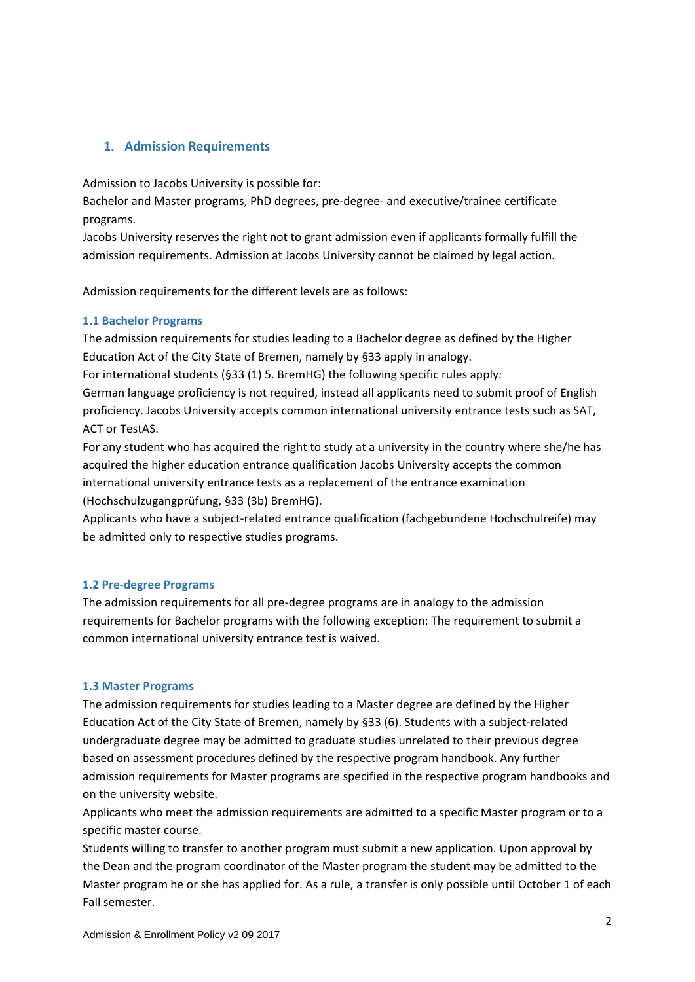# **1. Admission Requirements**

Admission to Jacobs University is possible for:

Bachelor and Master programs, PhD degrees, pre‐degree‐ and executive/trainee certificate programs.

Jacobs University reserves the right not to grant admission even if applicants formally fulfill the admission requirements. Admission at Jacobs University cannot be claimed by legal action.

Admission requirements for the different levels are as follows:

#### **1.1 Bachelor Programs**

The admission requirements for studies leading to a Bachelor degree as defined by the Higher Education Act of the City State of Bremen, namely by §33 apply in analogy.

For international students (§33 (1) 5. BremHG) the following specific rules apply:

German language proficiency is not required, instead all applicants need to submit proof of English proficiency. Jacobs University accepts common international university entrance tests such as SAT, ACT or TestAS.

For any student who has acquired the right to study at a university in the country where she/he has acquired the higher education entrance qualification Jacobs University accepts the common international university entrance tests as a replacement of the entrance examination (Hochschulzugangprüfung, §33 (3b) BremHG).

Applicants who have a subject-related entrance qualification (fachgebundene Hochschulreife) may be admitted only to respective studies programs.

#### **1.2 Pre‐degree Programs**

The admission requirements for all pre-degree programs are in analogy to the admission requirements for Bachelor programs with the following exception: The requirement to submit a common international university entrance test is waived.

#### **1.3 Master Programs**

The admission requirements for studies leading to a Master degree are defined by the Higher Education Act of the City State of Bremen, namely by §33 (6). Students with a subject‐related undergraduate degree may be admitted to graduate studies unrelated to their previous degree based on assessment procedures defined by the respective program handbook. Any further admission requirements for Master programs are specified in the respective program handbooks and on the university website.

Applicants who meet the admission requirements are admitted to a specific Master program or to a specific master course.

Students willing to transfer to another program must submit a new application. Upon approval by the Dean and the program coordinator of the Master program the student may be admitted to the Master program he or she has applied for. As a rule, a transfer is only possible until October 1 of each Fall semester.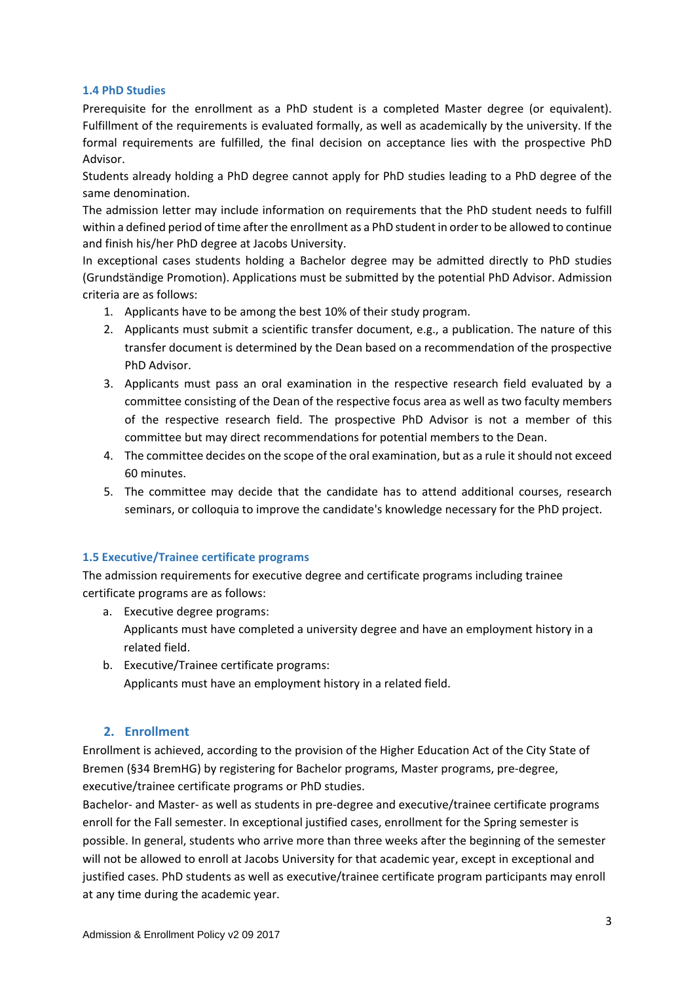#### **1.4 PhD Studies**

Prerequisite for the enrollment as a PhD student is a completed Master degree (or equivalent). Fulfillment of the requirements is evaluated formally, as well as academically by the university. If the formal requirements are fulfilled, the final decision on acceptance lies with the prospective PhD Advisor.

Students already holding a PhD degree cannot apply for PhD studies leading to a PhD degree of the same denomination.

The admission letter may include information on requirements that the PhD student needs to fulfill within a defined period of time after the enrollment as a PhD student in order to be allowed to continue and finish his/her PhD degree at Jacobs University.

In exceptional cases students holding a Bachelor degree may be admitted directly to PhD studies (Grundständige Promotion). Applications must be submitted by the potential PhD Advisor. Admission criteria are as follows:

- 1. Applicants have to be among the best 10% of their study program.
- 2. Applicants must submit a scientific transfer document, e.g., a publication. The nature of this transfer document is determined by the Dean based on a recommendation of the prospective PhD Advisor.
- 3. Applicants must pass an oral examination in the respective research field evaluated by a committee consisting of the Dean of the respective focus area as well as two faculty members of the respective research field. The prospective PhD Advisor is not a member of this committee but may direct recommendations for potential members to the Dean.
- 4. The committee decides on the scope of the oral examination, but as a rule it should not exceed 60 minutes.
- 5. The committee may decide that the candidate has to attend additional courses, research seminars, or colloquia to improve the candidate's knowledge necessary for the PhD project.

#### **1.5 Executive/Trainee certificate programs**

The admission requirements for executive degree and certificate programs including trainee certificate programs are as follows:

- a. Executive degree programs: Applicants must have completed a university degree and have an employment history in a related field.
- b. Executive/Trainee certificate programs: Applicants must have an employment history in a related field.

# **2. Enrollment**

Enrollment is achieved, according to the provision of the Higher Education Act of the City State of Bremen (§34 BremHG) by registering for Bachelor programs, Master programs, pre‐degree, executive/trainee certificate programs or PhD studies.

Bachelor- and Master- as well as students in pre-degree and executive/trainee certificate programs enroll for the Fall semester. In exceptional justified cases, enrollment for the Spring semester is possible. In general, students who arrive more than three weeks after the beginning of the semester will not be allowed to enroll at Jacobs University for that academic year, except in exceptional and justified cases. PhD students as well as executive/trainee certificate program participants may enroll at any time during the academic year.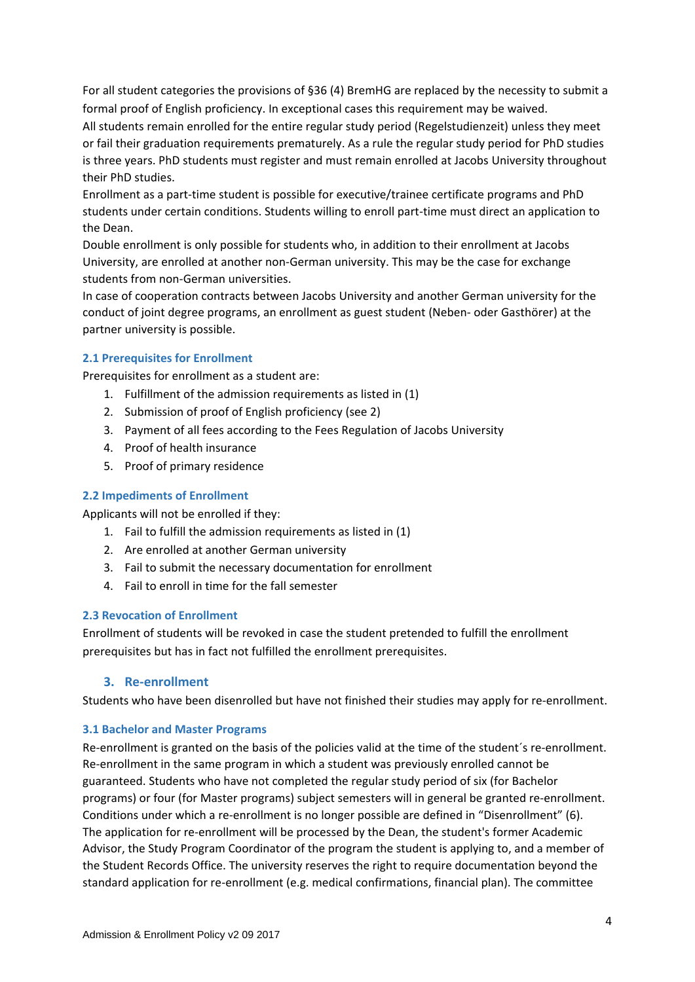For all student categories the provisions of §36 (4) BremHG are replaced by the necessity to submit a formal proof of English proficiency. In exceptional cases this requirement may be waived.

All students remain enrolled for the entire regular study period (Regelstudienzeit) unless they meet or fail their graduation requirements prematurely. As a rule the regular study period for PhD studies is three years. PhD students must register and must remain enrolled at Jacobs University throughout their PhD studies.

Enrollment as a part‐time student is possible for executive/trainee certificate programs and PhD students under certain conditions. Students willing to enroll part‐time must direct an application to the Dean.

Double enrollment is only possible for students who, in addition to their enrollment at Jacobs University, are enrolled at another non‐German university. This may be the case for exchange students from non‐German universities.

In case of cooperation contracts between Jacobs University and another German university for the conduct of joint degree programs, an enrollment as guest student (Neben‐ oder Gasthörer) at the partner university is possible.

#### **2.1 Prerequisites for Enrollment**

Prerequisites for enrollment as a student are:

- 1. Fulfillment of the admission requirements as listed in (1)
- 2. Submission of proof of English proficiency (see 2)
- 3. Payment of all fees according to the Fees Regulation of Jacobs University
- 4. Proof of health insurance
- 5. Proof of primary residence

### **2.2 Impediments of Enrollment**

Applicants will not be enrolled if they:

- 1. Fail to fulfill the admission requirements as listed in (1)
- 2. Are enrolled at another German university
- 3. Fail to submit the necessary documentation for enrollment
- 4. Fail to enroll in time for the fall semester

#### **2.3 Revocation of Enrollment**

Enrollment of students will be revoked in case the student pretended to fulfill the enrollment prerequisites but has in fact not fulfilled the enrollment prerequisites.

# **3. Re‐enrollment**

Students who have been disenrolled but have not finished their studies may apply for re‐enrollment.

#### **3.1 Bachelor and Master Programs**

Re-enrollment is granted on the basis of the policies valid at the time of the student's re-enrollment. Re‐enrollment in the same program in which a student was previously enrolled cannot be guaranteed. Students who have not completed the regular study period of six (for Bachelor programs) or four (for Master programs) subject semesters will in general be granted re‐enrollment. Conditions under which a re‐enrollment is no longer possible are defined in "Disenrollment" (6). The application for re‐enrollment will be processed by the Dean, the student's former Academic Advisor, the Study Program Coordinator of the program the student is applying to, and a member of the Student Records Office. The university reserves the right to require documentation beyond the standard application for re‐enrollment (e.g. medical confirmations, financial plan). The committee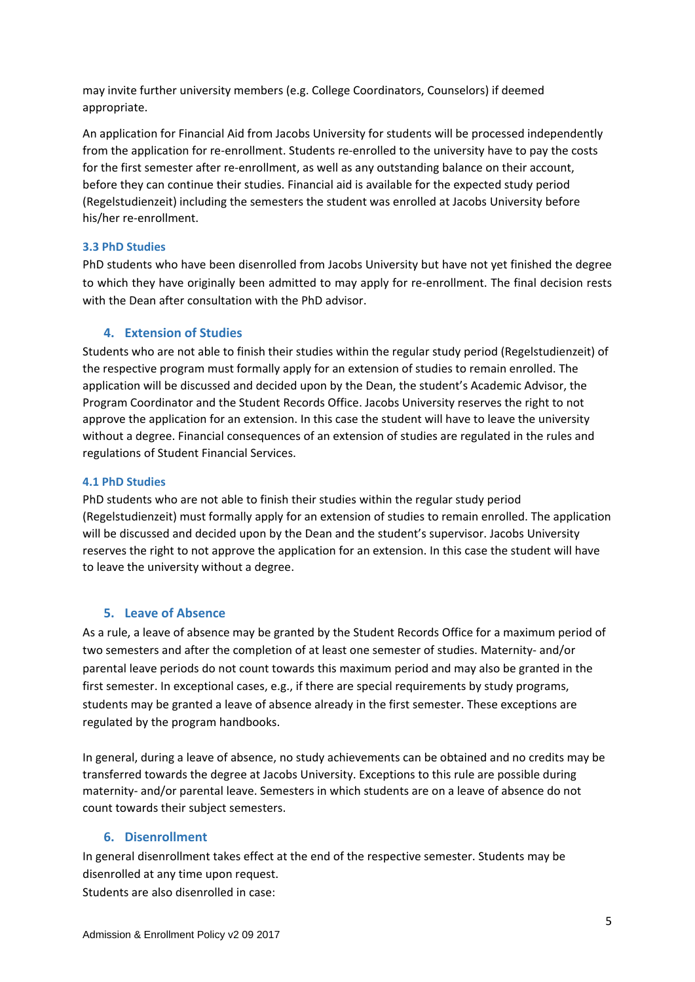may invite further university members (e.g. College Coordinators, Counselors) if deemed appropriate.

An application for Financial Aid from Jacobs University for students will be processed independently from the application for re‐enrollment. Students re‐enrolled to the university have to pay the costs for the first semester after re-enrollment, as well as any outstanding balance on their account, before they can continue their studies. Financial aid is available for the expected study period (Regelstudienzeit) including the semesters the student was enrolled at Jacobs University before his/her re‐enrollment.

#### **3.3 PhD Studies**

PhD students who have been disenrolled from Jacobs University but have not yet finished the degree to which they have originally been admitted to may apply for re-enrollment. The final decision rests with the Dean after consultation with the PhD advisor.

# **4. Extension of Studies**

Students who are not able to finish their studies within the regular study period (Regelstudienzeit) of the respective program must formally apply for an extension of studies to remain enrolled. The application will be discussed and decided upon by the Dean, the student's Academic Advisor, the Program Coordinator and the Student Records Office. Jacobs University reserves the right to not approve the application for an extension. In this case the student will have to leave the university without a degree. Financial consequences of an extension of studies are regulated in the rules and regulations of Student Financial Services.

# **4.1 PhD Studies**

PhD students who are not able to finish their studies within the regular study period (Regelstudienzeit) must formally apply for an extension of studies to remain enrolled. The application will be discussed and decided upon by the Dean and the student's supervisor. Jacobs University reserves the right to not approve the application for an extension. In this case the student will have to leave the university without a degree.

# **5. Leave of Absence**

As a rule, a leave of absence may be granted by the Student Records Office for a maximum period of two semesters and after the completion of at least one semester of studies. Maternity‐ and/or parental leave periods do not count towards this maximum period and may also be granted in the first semester. In exceptional cases, e.g., if there are special requirements by study programs, students may be granted a leave of absence already in the first semester. These exceptions are regulated by the program handbooks.

In general, during a leave of absence, no study achievements can be obtained and no credits may be transferred towards the degree at Jacobs University. Exceptions to this rule are possible during maternity‐ and/or parental leave. Semesters in which students are on a leave of absence do not count towards their subject semesters.

# **6. Disenrollment**

In general disenrollment takes effect at the end of the respective semester. Students may be disenrolled at any time upon request.

Students are also disenrolled in case: